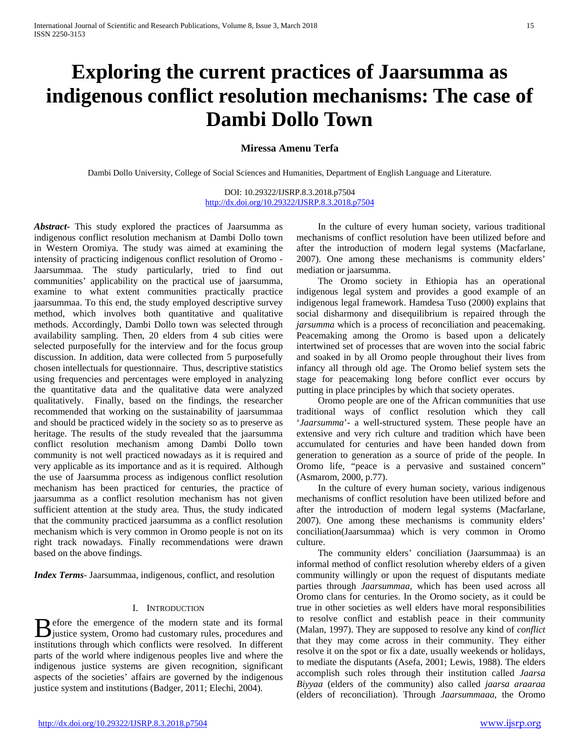# **Exploring the current practices of Jaarsumma as indigenous conflict resolution mechanisms: The case of Dambi Dollo Town**

# **Miressa Amenu Terfa**

Dambi Dollo University, College of Social Sciences and Humanities, Department of English Language and Literature.

DOI: 10.29322/IJSRP.8.3.2018.p7504 <http://dx.doi.org/10.29322/IJSRP.8.3.2018.p7504>

*Abstract***-** This study explored the practices of Jaarsumma as indigenous conflict resolution mechanism at Dambi Dollo town in Western Oromiya. The study was aimed at examining the intensity of practicing indigenous conflict resolution of Oromo - Jaarsummaa. The study particularly, tried to find out communities' applicability on the practical use of jaarsumma, examine to what extent communities practically practice jaarsummaa. To this end, the study employed descriptive survey method, which involves both quantitative and qualitative methods. Accordingly, Dambi Dollo town was selected through availability sampling. Then, 20 elders from 4 sub cities were selected purposefully for the interview and for the focus group discussion. In addition, data were collected from 5 purposefully chosen intellectuals for questionnaire. Thus, descriptive statistics using frequencies and percentages were employed in analyzing the quantitative data and the qualitative data were analyzed qualitatively. Finally, based on the findings, the researcher recommended that working on the sustainability of jaarsummaa and should be practiced widely in the society so as to preserve as heritage. The results of the study revealed that the jaarsumma conflict resolution mechanism among Dambi Dollo town community is not well practiced nowadays as it is required and very applicable as its importance and as it is required. Although the use of Jaarsumma process as indigenous conflict resolution mechanism has been practiced for centuries, the practice of jaarsumma as a conflict resolution mechanism has not given sufficient attention at the study area. Thus, the study indicated that the community practiced jaarsumma as a conflict resolution mechanism which is very common in Oromo people is not on its right track nowadays. Finally recommendations were drawn based on the above findings.

*Index Terms*- Jaarsummaa, indigenous, conflict, and resolution

#### I. INTRODUCTION

efore the emergence of the modern state and its formal **B** efore the emergence of the modern state and its formal justice system, Oromo had customary rules, procedures and institutions through which conflicts were resolved. In different parts of the world where indigenous peoples live and where the indigenous justice systems are given recognition, significant aspects of the societies' affairs are governed by the indigenous justice system and institutions (Badger, 2011; Elechi, 2004).

 In the culture of every human society, various traditional mechanisms of conflict resolution have been utilized before and after the introduction of modern legal systems (Macfarlane, 2007). One among these mechanisms is community elders' mediation or jaarsumma.

 The Oromo society in Ethiopia has an operational indigenous legal system and provides a good example of an indigenous legal framework. Hamdesa Tuso (2000) explains that social disharmony and disequilibrium is repaired through the *jarsumma* which is a process of reconciliation and peacemaking. Peacemaking among the Oromo is based upon a delicately intertwined set of processes that are woven into the social fabric and soaked in by all Oromo people throughout their lives from infancy all through old age. The Oromo belief system sets the stage for peacemaking long before conflict ever occurs by putting in place principles by which that society operates.

 Oromo people are one of the African communities that use traditional ways of conflict resolution which they call '*Jaarsumma*'- a well-structured system. These people have an extensive and very rich culture and tradition which have been accumulated for centuries and have been handed down from generation to generation as a source of pride of the people. In Oromo life, "peace is a pervasive and sustained concern" (Asmarom, 2000, p.77).

 In the culture of every human society, various indigenous mechanisms of conflict resolution have been utilized before and after the introduction of modern legal systems (Macfarlane, 2007). One among these mechanisms is community elders' conciliation(Jaarsummaa) which is very common in Oromo culture.

 The community elders' conciliation (Jaarsummaa) is an informal method of conflict resolution whereby elders of a given community willingly or upon the request of disputants mediate parties through *Jaarsummaa*, which has been used across all Oromo clans for centuries. In the Oromo society, as it could be true in other societies as well elders have moral responsibilities to resolve conflict and establish peace in their community (Malan, 1997). They are supposed to resolve any kind of *conflict*  that they may come across in their community. They either resolve it on the spot or fix a date, usually weekends or holidays, to mediate the disputants (Asefa, 2001; Lewis, 1988). The elders accomplish such roles through their institution called *Jaarsa Biyyaa* (elders of the community) also called *jaarsa araaraa*  (elders of reconciliation). Through *Jaarsummaaa*, the Oromo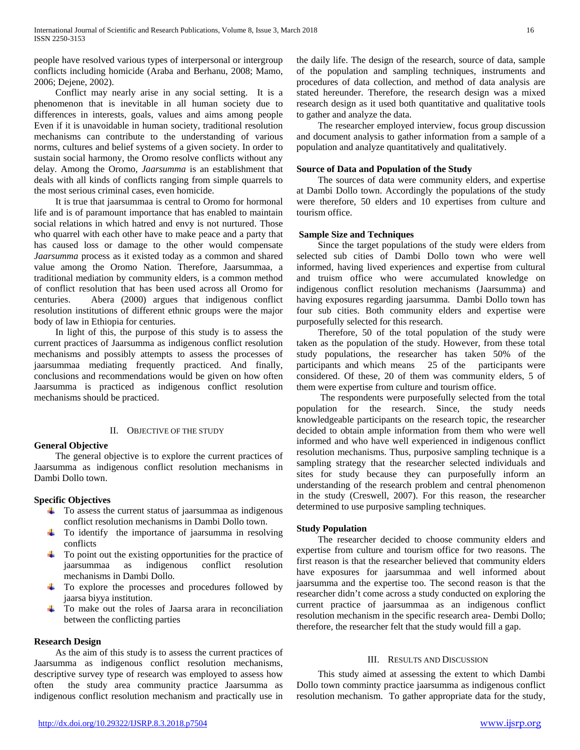people have resolved various types of interpersonal or intergroup conflicts including homicide (Araba and Berhanu, 2008; Mamo, 2006; Dejene, 2002).

 Conflict may nearly arise in any social setting. It is a phenomenon that is inevitable in all human society due to differences in interests, goals, values and aims among people Even if it is unavoidable in human society, traditional resolution mechanisms can contribute to the understanding of various norms, cultures and belief systems of a given society. In order to sustain social harmony, the Oromo resolve conflicts without any delay. Among the Oromo, *Jaarsumma* is an establishment that deals with all kinds of conflicts ranging from simple quarrels to the most serious criminal cases, even homicide.

 It is true that jaarsummaa is central to Oromo for hormonal life and is of paramount importance that has enabled to maintain social relations in which hatred and envy is not nurtured. Those who quarrel with each other have to make peace and a party that has caused loss or damage to the other would compensate *Jaarsumma* process as it existed today as a common and shared value among the Oromo Nation. Therefore, Jaarsummaa, a traditional mediation by community elders, is a common method of conflict resolution that has been used across all Oromo for centuries. Abera (2000) argues that indigenous conflict resolution institutions of different ethnic groups were the major body of law in Ethiopia for centuries.

 In light of this, the purpose of this study is to assess the current practices of Jaarsumma as indigenous conflict resolution mechanisms and possibly attempts to assess the processes of jaarsummaa mediating frequently practiced. And finally, conclusions and recommendations would be given on how often Jaarsumma is practiced as indigenous conflict resolution mechanisms should be practiced.

#### II. OBJECTIVE OF THE STUDY

## **General Objective**

 The general objective is to explore the current practices of Jaarsumma as indigenous conflict resolution mechanisms in Dambi Dollo town.

## **Specific Objectives**

- $\uparrow$  To assess the current status of jaarsummaa as indigenous conflict resolution mechanisms in Dambi Dollo town.
- $\pm$  To identify the importance of jaarsumma in resolving conflicts
- $\ddot{\phantom{1}}$  To point out the existing opportunities for the practice of jaarsummaa as indigenous conflict resolution mechanisms in Dambi Dollo.
- $\pm$  To explore the processes and procedures followed by jaarsa biyya institution.
- To make out the roles of Jaarsa arara in reconciliation between the conflicting parties

#### **Research Design**

 As the aim of this study is to assess the current practices of Jaarsumma as indigenous conflict resolution mechanisms, descriptive survey type of research was employed to assess how often the study area community practice Jaarsumma as indigenous conflict resolution mechanism and practically use in the daily life. The design of the research, source of data, sample of the population and sampling techniques, instruments and procedures of data collection, and method of data analysis are stated hereunder. Therefore, the research design was a mixed research design as it used both quantitative and qualitative tools to gather and analyze the data.

 The researcher employed interview, focus group discussion and document analysis to gather information from a sample of a population and analyze quantitatively and qualitatively.

### **Source of Data and Population of the Study**

 The sources of data were community elders, and expertise at Dambi Dollo town. Accordingly the populations of the study were therefore, 50 elders and 10 expertises from culture and tourism office.

### **Sample Size and Techniques**

 Since the target populations of the study were elders from selected sub cities of Dambi Dollo town who were well informed, having lived experiences and expertise from cultural and truism office who were accumulated knowledge on indigenous conflict resolution mechanisms (Jaarsumma) and having exposures regarding jaarsumma. Dambi Dollo town has four sub cities. Both community elders and expertise were purposefully selected for this research.

 Therefore, 50 of the total population of the study were taken as the population of the study. However, from these total study populations, the researcher has taken 50% of the participants and which means 25 of the participants were considered. Of these, 20 of them was community elders, 5 of them were expertise from culture and tourism office.

 The respondents were purposefully selected from the total population for the research. Since, the study needs knowledgeable participants on the research topic, the researcher decided to obtain ample information from them who were well informed and who have well experienced in indigenous conflict resolution mechanisms. Thus, purposive sampling technique is a sampling strategy that the researcher selected individuals and sites for study because they can purposefully inform an understanding of the research problem and central phenomenon in the study (Creswell, 2007). For this reason, the researcher determined to use purposive sampling techniques.

## **Study Population**

 The researcher decided to choose community elders and expertise from culture and tourism office for two reasons. The first reason is that the researcher believed that community elders have exposures for jaarsummaa and well informed about jaarsumma and the expertise too. The second reason is that the researcher didn't come across a study conducted on exploring the current practice of jaarsummaa as an indigenous conflict resolution mechanism in the specific research area- Dembi Dollo; therefore, the researcher felt that the study would fill a gap.

## III. RESULTS AND DISCUSSION

 This study aimed at assessing the extent to which Dambi Dollo town comminty practice jaarsumma as indigenous conflict resolution mechanism. To gather appropriate data for the study,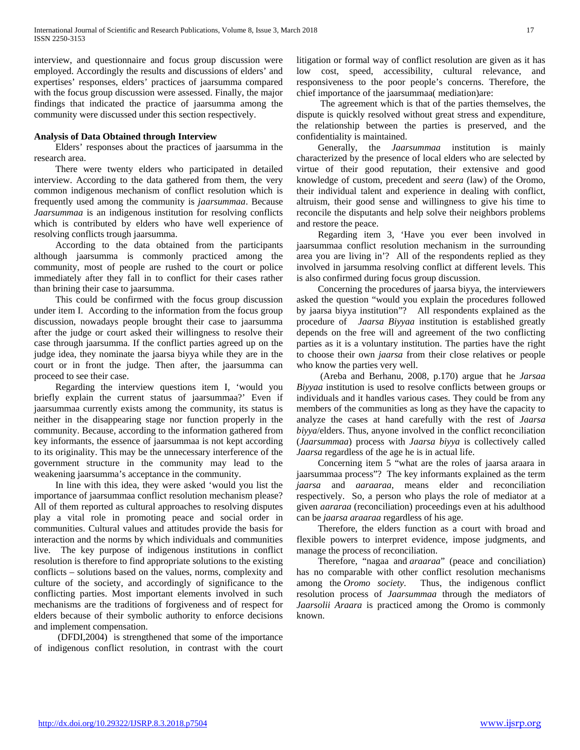interview, and questionnaire and focus group discussion were employed. Accordingly the results and discussions of elders' and expertises' responses, elders' practices of jaarsumma compared with the focus group discussion were assessed. Finally, the major findings that indicated the practice of jaarsumma among the community were discussed under this section respectively.

#### **Analysis of Data Obtained through Interview**

 Elders' responses about the practices of jaarsumma in the research area.

 There were twenty elders who participated in detailed interview. According to the data gathered from them, the very common indigenous mechanism of conflict resolution which is frequently used among the community is *jaarsummaa*. Because *Jaarsummaa* is an indigenous institution for resolving conflicts which is contributed by elders who have well experience of resolving conflicts trough jaarsumma.

 According to the data obtained from the participants although jaarsumma is commonly practiced among the community, most of people are rushed to the court or police immediately after they fall in to conflict for their cases rather than brining their case to jaarsumma.

 This could be confirmed with the focus group discussion under item I. According to the information from the focus group discussion, nowadays people brought their case to jaarsumma after the judge or court asked their willingness to resolve their case through jaarsumma. If the conflict parties agreed up on the judge idea, they nominate the jaarsa biyya while they are in the court or in front the judge. Then after, the jaarsumma can proceed to see their case.

 Regarding the interview questions item I, 'would you briefly explain the current status of jaarsummaa?' Even if jaarsummaa currently exists among the community, its status is neither in the disappearing stage nor function properly in the community. Because, according to the information gathered from key informants, the essence of jaarsummaa is not kept according to its originality. This may be the unnecessary interference of the government structure in the community may lead to the weakening jaarsumma's acceptance in the community.

 In line with this idea, they were asked 'would you list the importance of jaarsummaa conflict resolution mechanism please? All of them reported as cultural approaches to resolving disputes play a vital role in promoting peace and social order in communities. Cultural values and attitudes provide the basis for interaction and the norms by which individuals and communities live. The key purpose of indigenous institutions in conflict resolution is therefore to find appropriate solutions to the existing conflicts – solutions based on the values, norms, complexity and culture of the society, and accordingly of significance to the conflicting parties. Most important elements involved in such mechanisms are the traditions of forgiveness and of respect for elders because of their symbolic authority to enforce decisions and implement compensation.

 (DFDI,2004) is strengthened that some of the importance of indigenous conflict resolution, in contrast with the court litigation or formal way of conflict resolution are given as it has low cost, speed, accessibility, cultural relevance, and responsiveness to the poor people's concerns. Therefore, the chief importance of the jaarsummaa( mediation)are:

 The agreement which is that of the parties themselves, the dispute is quickly resolved without great stress and expenditure, the relationship between the parties is preserved, and the confidentiality is maintained.

 Generally, the *Jaarsummaa* institution is mainly characterized by the presence of local elders who are selected by virtue of their good reputation, their extensive and good knowledge of custom, precedent and *seera* (law) of the Oromo, their individual talent and experience in dealing with conflict, altruism, their good sense and willingness to give his time to reconcile the disputants and help solve their neighbors problems and restore the peace.

 Regarding item 3, 'Have you ever been involved in jaarsummaa conflict resolution mechanism in the surrounding area you are living in'? All of the respondents replied as they involved in jarsumma resolving conflict at different levels. This is also confirmed during focus group discussion.

 Concerning the procedures of jaarsa biyya, the interviewers asked the question "would you explain the procedures followed by jaarsa biyya institution"? All respondents explained as the procedure of *Jaarsa Biyyaa* institution is established greatly depends on the free will and agreement of the two conflicting parties as it is a voluntary institution. The parties have the right to choose their own *jaarsa* from their close relatives or people who know the parties very well.

 (Areba and Berhanu, 2008, p.170) argue that he *Jarsaa Biyyaa* institution is used to resolve conflicts between groups or individuals and it handles various cases. They could be from any members of the communities as long as they have the capacity to analyze the cases at hand carefully with the rest of *Jaarsa biyya*/elders. Thus, anyone involved in the conflict reconciliation (*Jaarsummaa*) process with *Jaarsa biyya* is collectively called *Jaarsa* regardless of the age he is in actual life.

 Concerning item 5 "what are the roles of jaarsa araara in jaarsummaa process"? The key informants explained as the term *jaarsa* and *aaraaraa*, means elder and reconciliation respectively. So, a person who plays the role of mediator at a given *aararaa* (reconciliation) proceedings even at his adulthood can be *jaarsa araaraa* regardless of his age.

 Therefore, the elders function as a court with broad and flexible powers to interpret evidence, impose judgments, and manage the process of reconciliation.

 Therefore, "nagaa and *araaraa*" (peace and conciliation) has no comparable with other conflict resolution mechanisms among the *Oromo society*. Thus, the indigenous conflict resolution process of *Jaarsummaa* through the mediators of *Jaarsolii Araara* is practiced among the Oromo is commonly known.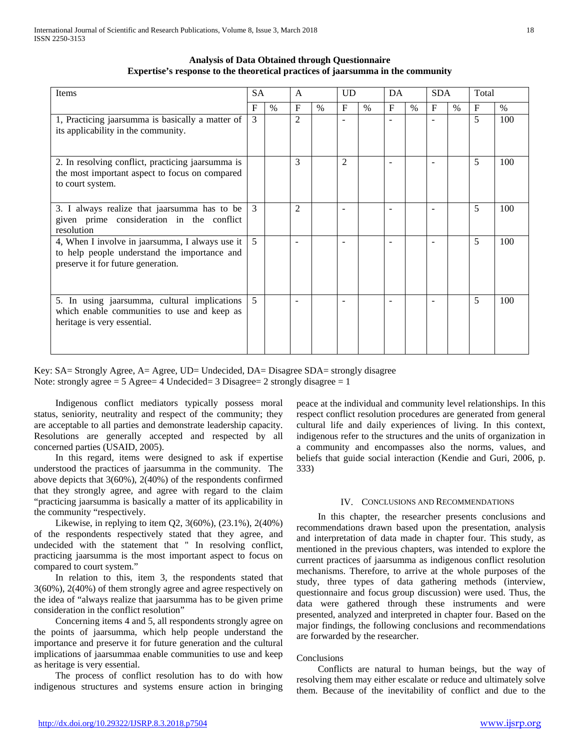| Items                                                                                                                                 | <b>SA</b>     |      | $\mathsf{A}$   |      | <b>UD</b>                |               | DA                       |      | <b>SDA</b>               |               | Total        |      |
|---------------------------------------------------------------------------------------------------------------------------------------|---------------|------|----------------|------|--------------------------|---------------|--------------------------|------|--------------------------|---------------|--------------|------|
|                                                                                                                                       | F             | $\%$ | $\mathbf F$    | $\%$ | $\mathbf{F}$             | $\frac{0}{0}$ | $\mathbf{F}$             | $\%$ | $\mathbf F$              | $\frac{0}{0}$ | $\mathbf{F}$ | $\%$ |
| 1, Practicing jaarsumma is basically a matter of<br>its applicability in the community.                                               | $\mathcal{F}$ |      | $\overline{2}$ |      | $\sim$                   |               | $\overline{\phantom{a}}$ |      | $\overline{\phantom{0}}$ |               | 5            | 100  |
| 2. In resolving conflict, practicing jaarsumma is<br>the most important aspect to focus on compared<br>to court system.               |               |      | 3              |      | $\overline{2}$           |               | $\overline{\phantom{a}}$ |      |                          |               | 5            | 100  |
| 3. I always realize that jaarsumma has to be<br>given prime consideration in the conflict<br>resolution                               | 3             |      | $\overline{2}$ |      |                          |               |                          |      |                          |               | 5            | 100  |
| 4, When I involve in jaarsumma, I always use it<br>to help people understand the importance and<br>preserve it for future generation. | 5             |      | ۰              |      | $\overline{\phantom{a}}$ |               | $\overline{\phantom{a}}$ |      | ۰                        |               | 5            | 100  |
| 5. In using jaarsumma, cultural implications<br>which enable communities to use and keep as<br>heritage is very essential.            | 5             |      |                |      |                          |               |                          |      |                          |               | 5            | 100  |

## **Analysis of Data Obtained through Questionnaire Expertise's response to the theoretical practices of jaarsumma in the community**

Key: SA= Strongly Agree, A= Agree, UD= Undecided, DA= Disagree SDA= strongly disagree Note: strongly agree  $= 5$  Agree  $= 4$  Undecided  $= 3$  Disagree  $= 2$  strongly disagree  $= 1$ 

 Indigenous conflict mediators typically possess moral status, seniority, neutrality and respect of the community; they are acceptable to all parties and demonstrate leadership capacity. Resolutions are generally accepted and respected by all concerned parties (USAID, 2005).

 In this regard, items were designed to ask if expertise understood the practices of jaarsumma in the community. The above depicts that 3(60%), 2(40%) of the respondents confirmed that they strongly agree, and agree with regard to the claim "practicing jaarsumma is basically a matter of its applicability in the community "respectively.

 Likewise, in replying to item Q2, 3(60%), (23.1%), 2(40%) of the respondents respectively stated that they agree, and undecided with the statement that " In resolving conflict, practicing jaarsumma is the most important aspect to focus on compared to court system."

 In relation to this, item 3, the respondents stated that 3(60%), 2(40%) of them strongly agree and agree respectively on the idea of "always realize that jaarsumma has to be given prime consideration in the conflict resolution"

 Concerning items 4 and 5, all respondents strongly agree on the points of jaarsumma, which help people understand the importance and preserve it for future generation and the cultural implications of jaarsummaa enable communities to use and keep as heritage is very essential.

 The process of conflict resolution has to do with how indigenous structures and systems ensure action in bringing peace at the individual and community level relationships. In this respect conflict resolution procedures are generated from general cultural life and daily experiences of living. In this context, indigenous refer to the structures and the units of organization in a community and encompasses also the norms, values, and beliefs that guide social interaction (Kendie and Guri, 2006, p. 333)

## IV. CONCLUSIONS AND RECOMMENDATIONS

 In this chapter, the researcher presents conclusions and recommendations drawn based upon the presentation, analysis and interpretation of data made in chapter four. This study, as mentioned in the previous chapters, was intended to explore the current practices of jaarsumma as indigenous conflict resolution mechanisms. Therefore, to arrive at the whole purposes of the study, three types of data gathering methods (interview, questionnaire and focus group discussion) were used. Thus, the data were gathered through these instruments and were presented, analyzed and interpreted in chapter four. Based on the major findings, the following conclusions and recommendations are forwarded by the researcher.

### Conclusions

 Conflicts are natural to human beings, but the way of resolving them may either escalate or reduce and ultimately solve them. Because of the inevitability of conflict and due to the